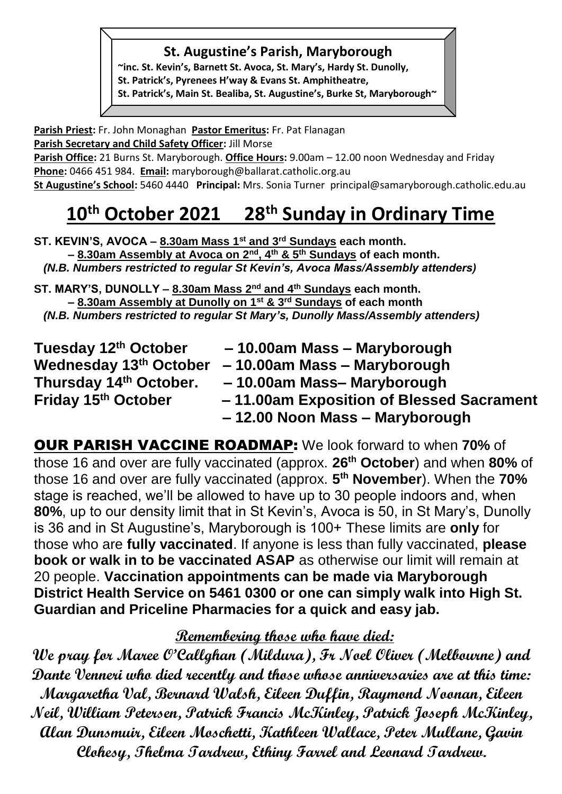#### **St. Augustine's Parish, Maryborough**

**~inc. St. Kevin's, Barnett St. Avoca, St. Mary's, Hardy St. Dunolly, St. Patrick's, Pyrenees H'way & Evans St. Amphitheatre, St. Patrick's, Main St. Bealiba, St. Augustine's, Burke St, Maryborough~**

**Parish Priest:** Fr. John Monaghan **Pastor Emeritus:** Fr. Pat Flanagan **Parish Secretary and Child Safety Officer:** Jill Morse

Parish Office: 21 Burns St. Maryborough. Office Hours: 9.00am – 12.00 noon Wednesday and Friday **Phone:** 0466 451 984. **Email:** [maryborough@ballarat.catholic.org.au](mailto:maryborough@ballarat.catholic.org.au) 

**St Augustine's School:** 5460 4440 **Principal:** Mrs. Sonia Turner [principal@samaryborough.catholic.edu.au](mailto:principal@samaryborough.catholic.edu.au)

# **10th October 2021 28 th Sunday in Ordinary Time**

**ST. KEVIN'S, AVOCA – 8.30am Mass 1st and 3rd Sundays each month. – 8.30am Assembly at Avoca on 2nd, 4th & 5th Sundays of each month.**   *(N.B. Numbers restricted to regular St Kevin's, Avoca Mass/Assembly attenders)* 

**ST. MARY'S, DUNOLLY – 8.30am Mass 2nd and 4th Sundays each month. – 8.30am Assembly at Dunolly on 1st & 3rd Sundays of each month**  *(N.B. Numbers restricted to regular St Mary's, Dunolly Mass/Assembly attenders)*

| Tuesday 12th October   | -10.00am Mass - Maryborough              |
|------------------------|------------------------------------------|
| Wednesday 13th October | -10.00am Mass - Maryborough              |
| Thursday 14th October. | -10.00am Mass-Maryborough                |
| Friday 15th October    | -11.00am Exposition of Blessed Sacrament |
|                        | -12.00 Noon Mass - Maryborough           |

OUR PARISH VACCINE ROADMAP: We look forward to when **70%** of those 16 and over are fully vaccinated (approx. **26th October**) and when **80%** of those 16 and over are fully vaccinated (approx. **5 th November**). When the **70%** stage is reached, we'll be allowed to have up to 30 people indoors and, when **80%**, up to our density limit that in St Kevin's, Avoca is 50, in St Mary's, Dunolly is 36 and in St Augustine's, Maryborough is 100+ These limits are **only** for those who are **fully vaccinated**. If anyone is less than fully vaccinated, **please book or walk in to be vaccinated ASAP** as otherwise our limit will remain at 20 people. **Vaccination appointments can be made via Maryborough District Health Service on 5461 0300 or one can simply walk into High St. Guardian and Priceline Pharmacies for a quick and easy jab.**

## **Remembering those who have died:**

**We pray for Maree O'Callghan (Mildura), Fr Noel Oliver (Melbourne) and Dante Venneri who died recently and those whose anniversaries are at this time: Margaretha Val, Bernard Walsh, Eileen Duffin, Raymond Noonan, Eileen Neil, William Petersen, Patrick Francis McKinley, Patrick Joseph McKinley, Alan Dunsmuir, Eileen Moschetti, Kathleen Wallace, Peter Mullane, Gavin Clohesy, Thelma Tardrew, Ethiny Farrel and Leonard Tardrew.**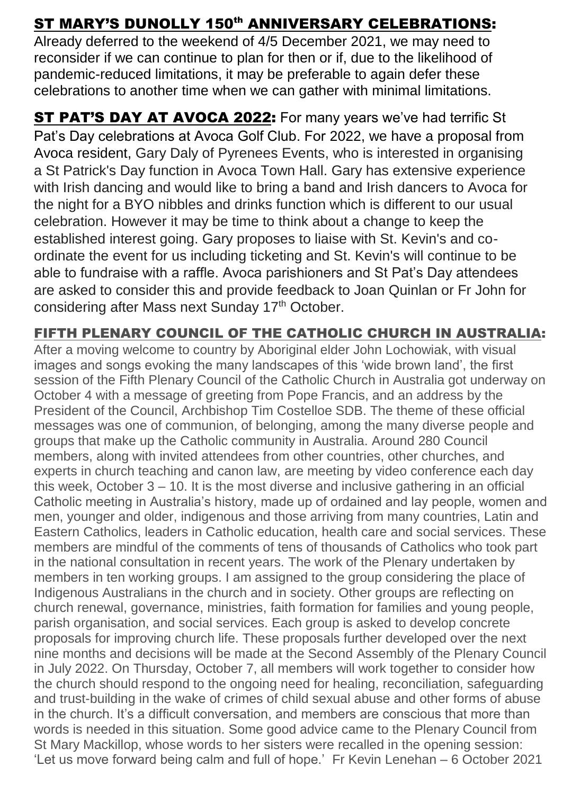### ST MARY'S DUNOLLY 150<sup>th</sup> ANNIVERSARY CELEBRATIONS:

Already deferred to the weekend of 4/5 December 2021, we may need to reconsider if we can continue to plan for then or if, due to the likelihood of pandemic-reduced limitations, it may be preferable to again defer these celebrations to another time when we can gather with minimal limitations.

ST PAT'S DAY AT AVOCA 2022: For many years we've had terrific St Pat's Day celebrations at Avoca Golf Club. For 2022, we have a proposal from Avoca resident, Gary Daly of Pyrenees Events, who is interested in organising a St Patrick's Day function in Avoca Town Hall. Gary has extensive experience with Irish dancing and would like to bring a band and Irish dancers to Avoca for the night for a BYO nibbles and drinks function which is different to our usual celebration. However it may be time to think about a change to keep the established interest going. Gary proposes to liaise with St. Kevin's and coordinate the event for us including ticketing and St. Kevin's will continue to be able to fundraise with a raffle. Avoca parishioners and St Pat's Day attendees are asked to consider this and provide feedback to Joan Quinlan or Fr John for considering after Mass next Sunday 17<sup>th</sup> October.

#### FIFTH PLENARY COUNCIL OF THE CATHOLIC CHURCH IN AUSTRALIA:

After a moving welcome to country by Aboriginal elder John Lochowiak, with visual images and songs evoking the many landscapes of this 'wide brown land', the first session of the Fifth Plenary Council of the Catholic Church in Australia got underway on October 4 with a message of greeting from Pope Francis, and an address by the President of the Council, Archbishop Tim Costelloe SDB. The theme of these official messages was one of communion, of belonging, among the many diverse people and groups that make up the Catholic community in Australia. Around 280 Council members, along with invited attendees from other countries, other churches, and experts in church teaching and canon law, are meeting by video conference each day this week, October  $3 - 10$ . It is the most diverse and inclusive gathering in an official Catholic meeting in Australia's history, made up of ordained and lay people, women and men, younger and older, indigenous and those arriving from many countries, Latin and Eastern Catholics, leaders in Catholic education, health care and social services. These members are mindful of the comments of tens of thousands of Catholics who took part in the national consultation in recent years. The work of the Plenary undertaken by members in ten working groups. I am assigned to the group considering the place of Indigenous Australians in the church and in society. Other groups are reflecting on church renewal, governance, ministries, faith formation for families and young people, parish organisation, and social services. Each group is asked to develop concrete proposals for improving church life. These proposals further developed over the next nine months and decisions will be made at the Second Assembly of the Plenary Council in July 2022. On Thursday, October 7, all members will work together to consider how the church should respond to the ongoing need for healing, reconciliation, safeguarding and trust-building in the wake of crimes of child sexual abuse and other forms of abuse in the church. It's a difficult conversation, and members are conscious that more than words is needed in this situation. Some good advice came to the Plenary Council from St Mary Mackillop, whose words to her sisters were recalled in the opening session: 'Let us move forward being calm and full of hope.' Fr Kevin Lenehan – 6 October 2021